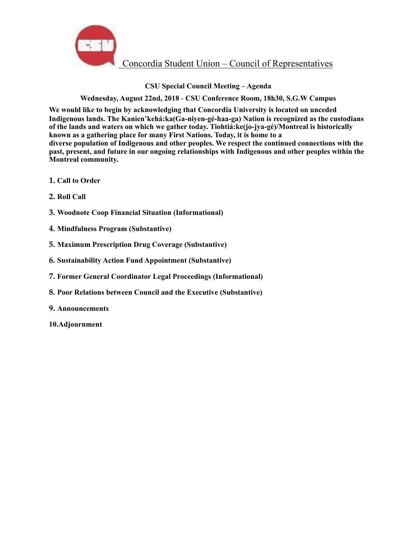

# **CSU Special Council Meeting – Agenda**

## **Wednesday, August 22nd, 2018** - **CSU Conference Room, 18h30, S.G.W Campus**

**We would like to begin by acknowledging that Concordia University is located on unceded Indigenous lands. The Kanien'kehá:ka(Ga-niyen-gé-haa-ga) Nation is recognized as the custodians of the lands and waters on which we gather today. Tiohtiá:ke(jo-jya-gé)/Montreal is historically known as a gathering place for many First Nations. Today, it is home to a diverse population of Indigenous and other peoples. We respect the continued connections with the past, present, and future in our ongoing relationships with Indigenous and other peoples within the Montreal community.** 

- **1. Call to Order**
- **2. Roll Call**
- **3. Woodnote Coop Financial Situation (Informational)**
- **4. Mindfulness Program (Substantive)**
- **5. Maximum Prescription Drug Coverage (Substantive)**
- **6. Sustainability Action Fund Appointment (Substantive)**
- **7. Former General Coordinator Legal Proceedings (Informational)**
- **8. Poor Relations between Council and the Executive (Substantive)**
- **9. Announcements**
- **10.Adjournment**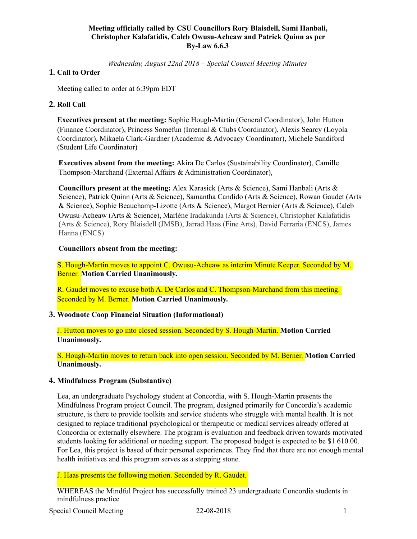### **Meeting officially called by CSU Councillors Rory Blaisdell, Sami Hanbali, Christopher Kalafatidis, Caleb Owusu-Acheaw and Patrick Quinn as per By-Law 6.6.3**

*Wednesday, August 22nd 2018 – Special Council Meeting Minutes*

## **1. Call to Order**

Meeting called to order at 6:39pm EDT

#### **2. Roll Call**

**Executives present at the meeting:** Sophie Hough-Martin (General Coordinator), John Hutton (Finance Coordinator), Princess Somefun (Internal & Clubs Coordinator), Alexis Searcy (Loyola Coordinator), Mikaela Clark-Gardner (Academic & Advocacy Coordinator), Michele Sandiford (Student Life Coordinator)

**Executives absent from the meeting:** Akira De Carlos (Sustainability Coordinator), Camille Thompson-Marchand (External Affairs & Administration Coordinator),

**Councillors present at the meeting:** Alex Karasick (Arts & Science), Sami Hanbali (Arts & Science), Patrick Quinn (Arts & Science), Samantha Candido (Arts & Science), Rowan Gaudet (Arts & Science), Sophie Beauchamp-Lizotte (Arts & Science), Margot Bernier (Arts & Science), Caleb Owusu-Acheaw (Arts & Science), Marlène Iradakunda (Arts & Science), Christopher Kalafatidis (Arts & Science), Rory Blaisdell (JMSB), Jarrad Haas (Fine Arts), David Ferraria (ENCS), James Hanna (ENCS)

### **Councillors absent from the meeting:**

S. Hough-Martin moves to appoint C. Owusu-Acheaw as interim Minute Keeper. Seconded by M. Berner. **Motion Carried Unanimously.** 

R. Gaudet moves to excuse both A. De Carlos and C. Thompson-Marchand from this meeting. Seconded by M. Berner. **Motion Carried Unanimously.** 

#### **3. Woodnote Coop Financial Situation (Informational)**

J. Hutton moves to go into closed session. Seconded by S. Hough-Martin. **Motion Carried Unanimously.** 

S. Hough-Martin moves to return back into open session. Seconded by M. Berner. **Motion Carried Unanimously.** 

#### **4. Mindfulness Program (Substantive)**

Lea, an undergraduate Psychology student at Concordia, with S. Hough-Martin presents the Mindfulness Program project Council. The program, designed primarily for Concordia's academic structure, is there to provide toolkits and service students who struggle with mental health. It is not designed to replace traditional psychological or therapeutic or medical services already offered at Concordia or externally elsewhere. The program is evaluation and feedback driven towards motivated students looking for additional or needing support. The proposed budget is expected to be \$1 610.00. For Lea, this project is based of their personal experiences. They find that there are not enough mental health initiatives and this program serves as a stepping stone.

J. Haas presents the following motion. Seconded by R. Gaudet.

WHEREAS the Mindful Project has successfully trained 23 undergraduate Concordia students in mindfulness practice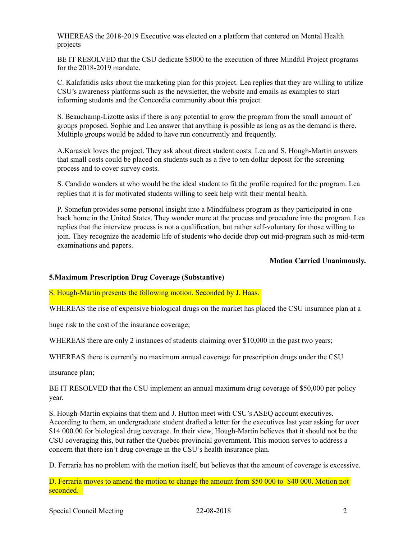WHEREAS the 2018-2019 Executive was elected on a platform that centered on Mental Health projects

BE IT RESOLVED that the CSU dedicate \$5000 to the execution of three Mindful Project programs for the 2018-2019 mandate.

C. Kalafatidis asks about the marketing plan for this project. Lea replies that they are willing to utilize CSU's awareness platforms such as the newsletter, the website and emails as examples to start informing students and the Concordia community about this project.

S. Beauchamp-Lizotte asks if there is any potential to grow the program from the small amount of groups proposed. Sophie and Lea answer that anything is possible as long as as the demand is there. Multiple groups would be added to have run concurrently and frequently.

A.Karasick loves the project. They ask about direct student costs. Lea and S. Hough-Martin answers that small costs could be placed on students such as a five to ten dollar deposit for the screening process and to cover survey costs.

S. Candido wonders at who would be the ideal student to fit the profile required for the program. Lea replies that it is for motivated students willing to seek help with their mental health.

P. Somefun provides some personal insight into a Mindfulness program as they participated in one back home in the United States. They wonder more at the process and procedure into the program. Lea replies that the interview process is not a qualification, but rather self-voluntary for those willing to join. They recognize the academic life of students who decide drop out mid-program such as mid-term examinations and papers.

#### **Motion Carried Unanimously.**

#### **5.Maximum Prescription Drug Coverage (Substantive)**

S. Hough-Martin presents the following motion. Seconded by J. Haas.

WHEREAS the rise of expensive biological drugs on the market has placed the CSU insurance plan at a

huge risk to the cost of the insurance coverage;

WHEREAS there are only 2 instances of students claiming over \$10,000 in the past two years;

WHEREAS there is currently no maximum annual coverage for prescription drugs under the CSU

insurance plan;

BE IT RESOLVED that the CSU implement an annual maximum drug coverage of \$50,000 per policy year.

S. Hough-Martin explains that them and J. Hutton meet with CSU's ASEQ account executives. According to them, an undergraduate student drafted a letter for the executives last year asking for over \$14 000.00 for biological drug coverage. In their view, Hough-Martin believes that it should not be the CSU coveraging this, but rather the Quebec provincial government. This motion serves to address a concern that there isn't drug coverage in the CSU's health insurance plan.

D. Ferraria has no problem with the motion itself, but believes that the amount of coverage is excessive.

D. Ferraria moves to amend the motion to change the amount from \$50 000 to \$40 000. Motion not seconded.